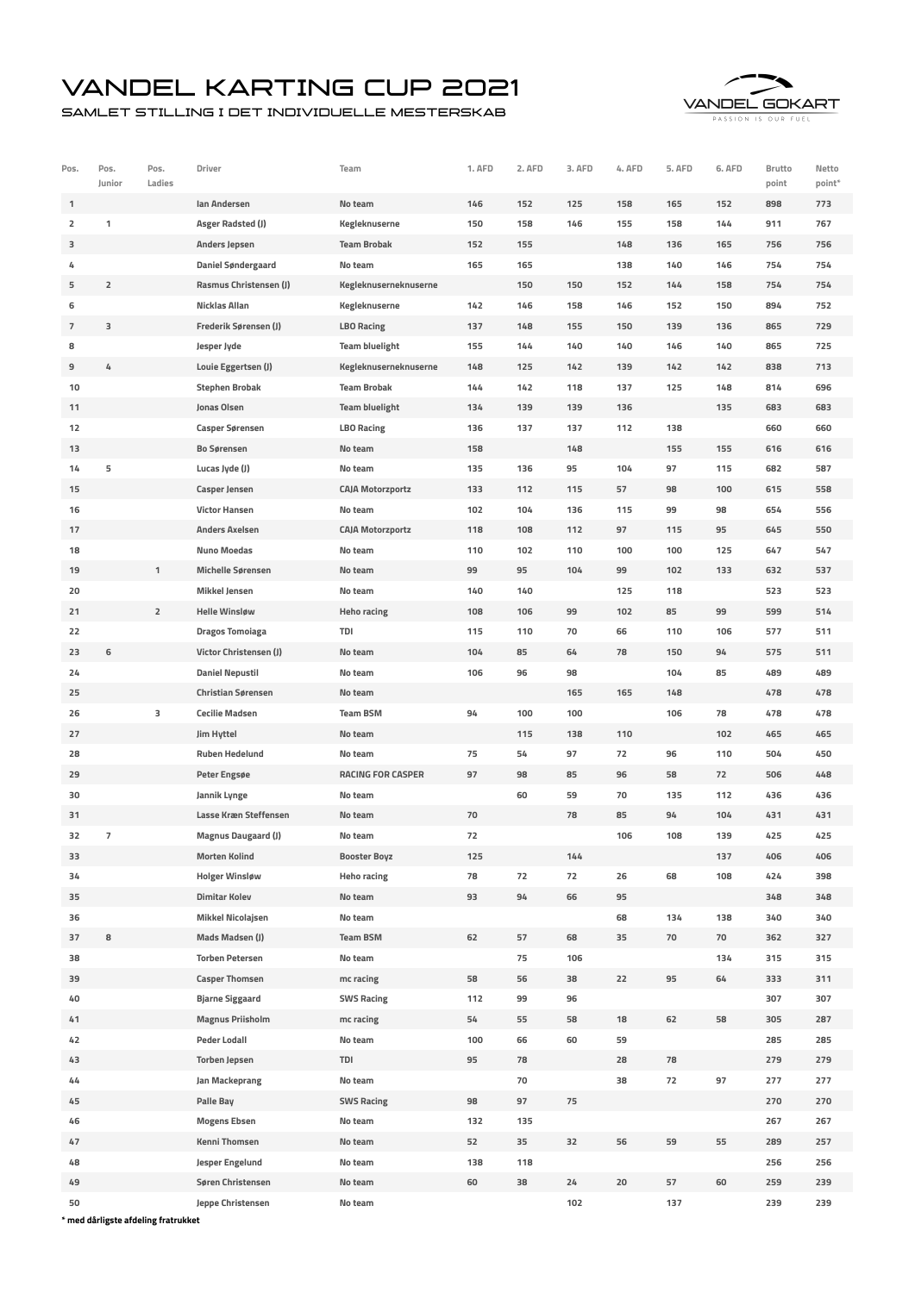## Vandel Karting Cup 2021

Samlet stilling i det individuelle mesterskab



| Pos.                    | Pos.<br>Junior           | Pos.<br>Ladies | Driver                     | Team                     | 1. AFD | 2. AFD | 3. AFD | 4. AFD | 5. AFD | 6. AFD | Brutto<br>point | Netto<br>point* |
|-------------------------|--------------------------|----------------|----------------------------|--------------------------|--------|--------|--------|--------|--------|--------|-----------------|-----------------|
| 1                       |                          |                | Ian Andersen               | No team                  | 146    | 152    | 125    | 158    | 165    | 152    | 898             | 773             |
| $\overline{\mathbf{2}}$ | 1                        |                | Asger Radsted (J)          | Kegleknuserne            | 150    | 158    | 146    | 155    | 158    | 144    | 911             | 767             |
| з                       |                          |                | <b>Anders Jepsen</b>       | <b>Team Brobak</b>       | 152    | 155    |        | 148    | 136    | 165    | 756             | 756             |
| 4                       |                          |                | Daniel Søndergaard         | No team                  | 165    | 165    |        | 138    | 140    | 146    | 754             | 754             |
| 5                       | $\overline{2}$           |                | Rasmus Christensen (J)     | Kegleknuserneknuserne    |        | 150    | 150    | 152    | 144    | 158    | 754             | 754             |
| 6                       |                          |                | Nicklas Allan              | Kegleknuserne            | 142    | 146    | 158    | 146    | 152    | 150    | 894             | 752             |
| 7                       | 3                        |                | Frederik Sørensen (J)      | <b>LBO Racing</b>        | 137    | 148    | 155    | 150    | 139    | 136    | 865             | 729             |
| 8                       |                          |                | Jesper Jyde                | <b>Team bluelight</b>    | 155    | 144    | 140    | 140    | 146    | 140    | 865             | 725             |
| 9                       | 4                        |                | Louie Eggertsen (J)        | Kegleknuserneknuserne    | 148    | 125    | 142    | 139    | 142    | 142    | 838             | 713             |
| 10                      |                          |                | <b>Stephen Brobak</b>      | <b>Team Brobak</b>       | 144    | 142    | 118    | 137    | 125    | 148    | 814             | 696             |
| 11                      |                          |                | Jonas Olsen                | <b>Team bluelight</b>    | 134    | 139    | 139    | 136    |        | 135    | 683             | 683             |
| 12                      |                          |                | <b>Casper Sørensen</b>     | <b>LBO Racing</b>        | 136    | 137    | 137    | 112    | 138    |        | 660             | 660             |
| 13                      |                          |                | <b>Bo Sørensen</b>         | No team                  | 158    |        | 148    |        | 155    | 155    | 616             | 616             |
| 14                      | 5                        |                | Lucas Jyde (J)             | No team                  | 135    | 136    | 95     | 104    | 97     | 115    | 682             | 587             |
| 15                      |                          |                | <b>Casper Jensen</b>       | <b>CAJA Motorzportz</b>  | 133    | 112    | 115    | 57     | 98     | 100    | 615             | 558             |
| 16                      |                          |                | <b>Victor Hansen</b>       | No team                  | 102    | 104    | 136    | 115    | 99     | 98     | 654             | 556             |
| 17                      |                          |                | <b>Anders Axelsen</b>      | <b>CAJA Motorzportz</b>  | 118    | 108    | 112    | 97     | 115    | 95     | 645             | 550             |
| 18                      |                          |                | <b>Nuno Moedas</b>         | No team                  | 110    | 102    | 110    | 100    | 100    | 125    | 647             | 547             |
| 19                      |                          | $\mathbf{1}$   | <b>Michelle Sørensen</b>   | No team                  | 99     | 95     | 104    | 99     | 102    | 133    | 632             | 537             |
| 20                      |                          |                | <b>Mikkel Jensen</b>       | No team                  | 140    | 140    |        | 125    | 118    |        | 523             | 523             |
| 21                      |                          | $\overline{2}$ | <b>Helle Winsløw</b>       | <b>Heho racing</b>       | 108    | 106    | 99     | 102    | 85     | 99     | 599             | 514             |
| 22                      |                          |                | <b>Dragos Tomoiaga</b>     | TDI                      | 115    | 110    | 70     | 66     | 110    | 106    | 577             | 511             |
| 23                      | 6                        |                | Victor Christensen (J)     | No team                  | 104    | 85     | 64     | 78     | 150    | 94     | 575             | 511             |
|                         |                          |                |                            |                          |        |        |        |        | 104    |        |                 | 489             |
| 24                      |                          |                | <b>Daniel Nepustil</b>     | No team                  | 106    | 96     | 98     |        |        | 85     | 489             |                 |
| 25                      |                          |                | <b>Christian Sørensen</b>  | No team                  |        |        | 165    | 165    | 148    |        | 478             | 478             |
| 26                      |                          | з              | <b>Cecilie Madsen</b>      | <b>Team BSM</b>          | 94     | 100    | 100    |        | 106    | 78     | 478             | 478             |
| 27                      |                          |                | Jim Hyttel                 | No team                  |        | 115    | 138    | 110    |        | 102    | 465             | 465             |
| 28                      |                          |                | <b>Ruben Hedelund</b>      | No team                  | 75     | 54     | 97     | 72     | 96     | 110    | 504             | 450             |
| 29                      |                          |                | Peter Engsøe               | <b>RACING FOR CASPER</b> | 97     | 98     | 85     | 96     | 58     | 72     | 506             | 448             |
| 30                      |                          |                | Jannik Lynge               | No team                  |        | 60     | 59     | 70     | 135    | 112    | 436             | 436             |
| 31                      |                          |                | Lasse Kræn Steffensen      | No team                  | 70     |        | 78     | 85     | 94     | 104    | 431             | 431             |
| 32                      | $\overline{\phantom{a}}$ |                | <b>Magnus Daugaard (J)</b> | No team                  | 72     |        |        | 106    | 108    | 139    | 425             | 425             |
| 33                      |                          |                | <b>Morten Kolind</b>       | <b>Booster Boyz</b>      | 125    |        | 144    |        |        | 137    | 406             | 406             |
| 34                      |                          |                | <b>Holger Winsløw</b>      | <b>Heho racing</b>       | 78     | 72     | 72     | 26     | 68     | 108    | 424             | 398             |
| 35                      |                          |                | <b>Dimitar Kolev</b>       | No team                  | 93     | 94     | 66     | 95     |        |        | 348             | 348             |
| 36                      |                          |                | <b>Mikkel Nicolajsen</b>   | No team                  |        |        |        | 68     | 134    | 138    | 340             | 340             |
| 37                      | 8                        |                | <b>Mads Madsen (J)</b>     | <b>Team BSM</b>          | 62     | 57     | 68     | 35     | 70     | 70     | 362             | 327             |
| 38                      |                          |                | <b>Torben Petersen</b>     | No team                  |        | 75     | 106    |        |        | 134    | 315             | 315             |
| 39                      |                          |                | <b>Casper Thomsen</b>      | mc racing                | 58     | 56     | 38     | 22     | 95     | 64     | 333             | 311             |
| 40                      |                          |                | <b>Bjarne Siggaard</b>     | <b>SWS Racing</b>        | 112    | 99     | 96     |        |        |        | 307             | 307             |
| 41                      |                          |                | <b>Magnus Priisholm</b>    | mc racing                | 54     | 55     | 58     | 18     | 62     | 58     | 305             | 287             |
| 42                      |                          |                | <b>Peder Lodall</b>        | No team                  | 100    | 66     | 60     | 59     |        |        | 285             | 285             |
| 43                      |                          |                | <b>Torben Jepsen</b>       | TDI                      | 95     | 78     |        | 28     | 78     |        | 279             | 279             |
| 44                      |                          |                | Jan Mackeprang             | No team                  |        | 70     |        | 38     | 72     | 97     | 277             | 277             |
| 45                      |                          |                | Palle Bay                  | <b>SWS Racing</b>        | 98     | 97     | 75     |        |        |        | 270             | 270             |
| 46                      |                          |                | <b>Mogens Ebsen</b>        | No team                  | 132    | 135    |        |        |        |        | 267             | 267             |
| 47                      |                          |                | Kenni Thomsen              | No team                  | 52     | 35     | 32     | 56     | 59     | 55     | 289             | 257             |
| 48                      |                          |                | Jesper Engelund            | No team                  | 138    | 118    |        |        |        |        | 256             | 256             |
| 49                      |                          |                | Søren Christensen          | No team                  | 60     | 38     | 24     | 20     | 57     | 60     | 259             | 239             |
| 50                      |                          |                | Jeppe Christensen          | No team                  |        |        | 102    |        | 137    |        | 239             | 239             |

**\* med dårligste afdeling fratrukket**